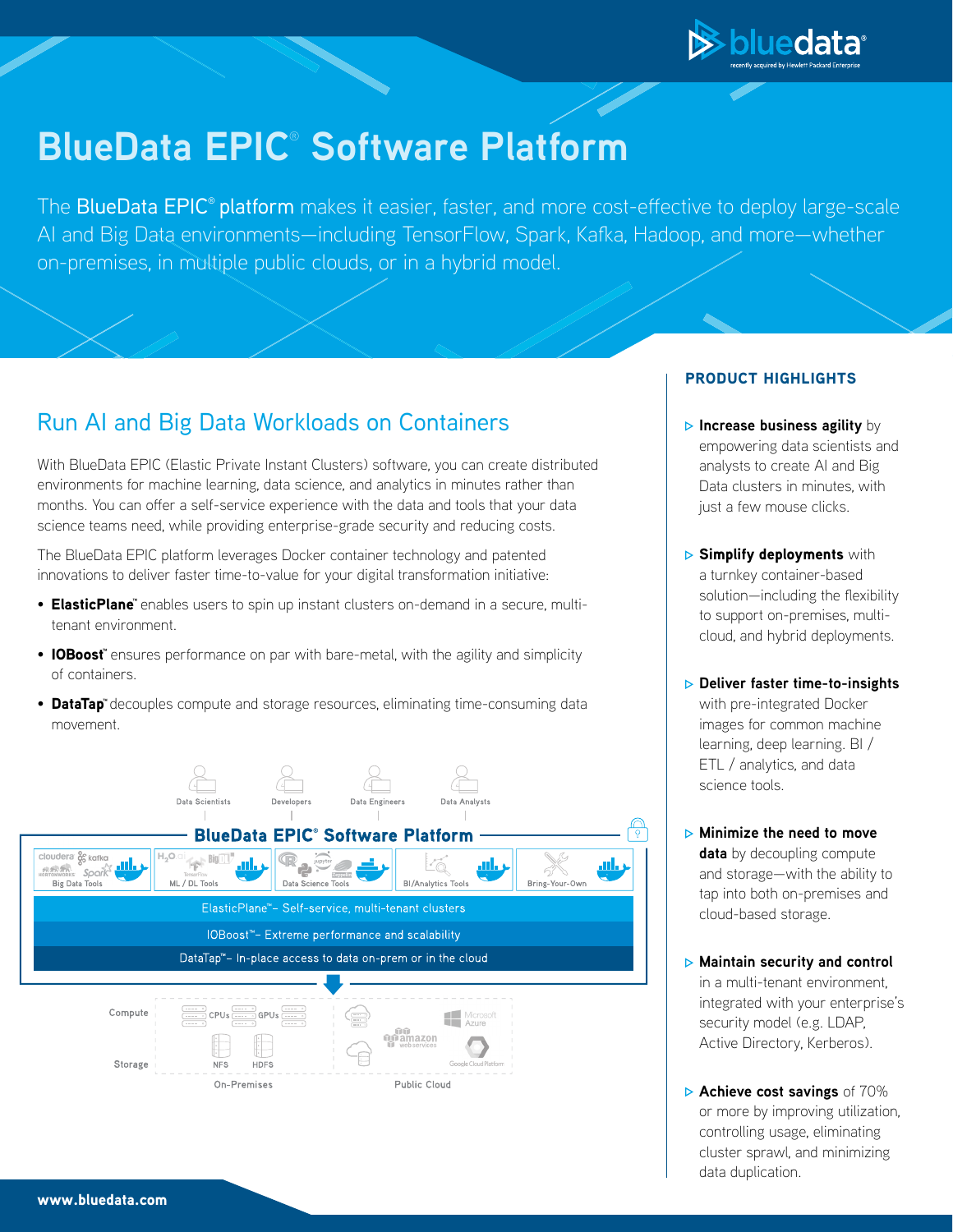

# **BlueData EPIC**®  **Software Platform**

The **BlueData EPIC<sup>®</sup> platform** makes it easier, faster, and more cost-effective to deploy large-scale AI and Big Data environments—including TensorFlow, Spark, Kafka, Hadoop, and more—whether on-premises, in multiple public clouds, or in a hybrid model.

## Run AI and Big Data Workloads on Containers

With BlueData EPIC (Elastic Private Instant Clusters) software, you can create distributed environments for machine learning, data science, and analytics in minutes rather than months. You can offer a self-service experience with the data and tools that your data science teams need, while providing enterprise-grade security and reducing costs.

The BlueData EPIC platform leverages Docker container technology and patented innovations to deliver faster time-to-value for your digital transformation initiative:

- ElasticPlane™ enables users to spin up instant clusters on-demand in a secure, multitenant environment.
- IOBoost™ ensures performance on par with bare-metal, with the agility and simplicity of containers.
- DataTap™ decouples compute and storage resources, eliminating time-consuming data movement.



### PRODUCT HIGHLIGHTS

- **Increase business agility** by empowering data scientists and analysts to create AI and Big Data clusters in minutes, with just a few mouse clicks.
- $\triangleright$  Simplify deployments with a turnkey container-based solution—including the flexibility to support on-premises, multicloud, and hybrid deployments.
- **Deliver faster time-to-insights** with pre-integrated Docker images for common machine learning, deep learning. BI / ETL / analytics, and data science tools.
- **Minimize the need to move data** by decoupling compute and storage—with the ability to tap into both on-premises and cloud-based storage.
- **Maintain security and control** in a multi-tenant environment, integrated with your enterprise's security model (e.g. LDAP, Active Directory, Kerberos).
- **Achieve cost savings** of 70% or more by improving utilization, controlling usage, eliminating cluster sprawl, and minimizing data duplication.